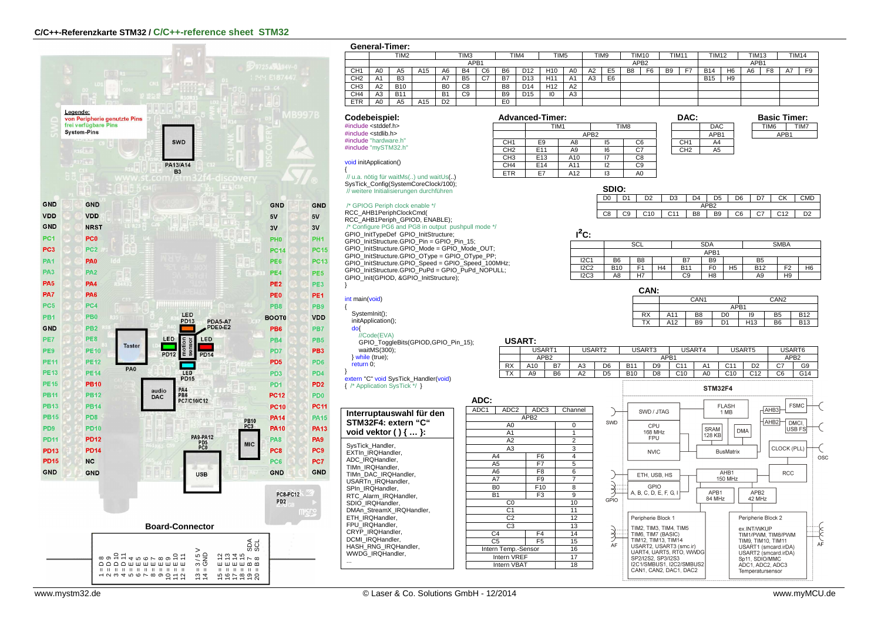

| General-Tim |  |  |
|-------------|--|--|
|-------------|--|--|

|                 |                | <b>General-Timer:</b> |                 |                |                  |    |                |                 |                  |                |    |                |                  |                |                   |    |              |                  |              |                |              |                |
|-----------------|----------------|-----------------------|-----------------|----------------|------------------|----|----------------|-----------------|------------------|----------------|----|----------------|------------------|----------------|-------------------|----|--------------|------------------|--------------|----------------|--------------|----------------|
|                 |                | TIM <sub>2</sub>      |                 |                | TIM <sub>3</sub> |    |                | TIM4            | TIM <sub>5</sub> |                |    | TIM9           | <b>TIM10</b>     |                | TIM <sub>11</sub> |    | <b>TIM12</b> |                  | <b>TIM13</b> |                | <b>TIM14</b> |                |
|                 | APB1           |                       |                 |                |                  |    |                |                 |                  |                |    |                | APB <sub>2</sub> |                |                   |    |              | APB <sub>1</sub> |              |                |              |                |
| CH <sub>1</sub> | A0             | A <sub>5</sub>        | A15             | A6             | <b>B4</b>        | C6 | <b>B6</b>      | D <sub>12</sub> | H <sub>10</sub>  | A <sub>0</sub> | A2 | E <sub>5</sub> | B <sub>8</sub>   | F <sub>6</sub> | <b>B</b> 9        | E7 | <b>B14</b>   | H <sub>6</sub>   | A6           | F <sub>8</sub> | A7           | F <sub>9</sub> |
| CH <sub>2</sub> | A1             | B <sub>3</sub>        |                 | A7             | B <sub>5</sub>   | C7 | <b>B7</b>      | D <sub>13</sub> | H1               | A1             | A3 | E <sub>6</sub> |                  |                |                   |    | <b>B15</b>   | H <sub>9</sub>   |              |                |              |                |
| CH <sub>3</sub> | A <sub>2</sub> | <b>B10</b>            |                 | B <sub>0</sub> | C8               |    | B <sub>8</sub> | D <sub>14</sub> | H <sub>12</sub>  | A2             |    |                |                  |                |                   |    |              |                  |              |                |              |                |
| CH <sub>4</sub> | A <sub>3</sub> | <b>B11</b>            |                 | <b>B1</b>      | C9               |    | B <sub>9</sub> | D <sub>15</sub> | 10               | A3             |    |                |                  |                |                   |    |              |                  |              |                |              |                |
| <b>ETR</b>      | A0             | A5                    | A <sub>15</sub> | D <sub>2</sub> |                  |    | E <sub>0</sub> |                 |                  |                |    |                |                  |                |                   |    |              |                  |              |                |              |                |

# **Codebeispiel:** #include <stddef.h> #include <stdlib.h>

 #include "hardware.h" #include "mySTM32.h"

void initApplication()

{ // u.a. nötig für waitMs(..) und waitUs(..) SysTick\_Config(SystemCoreClock/100); // weitere Initialisierungen durchführen

/\* GPIOG Periph clock enable \*/

RCC\_AHB1PeriphClockCmd( RCC\_AHB1Periph\_GPIOD, ENABLE); /\* Configure PG6 and PG8 in output pushpull mode \*/GPIO\_InitTypeDef GPIO\_InitStructure; GPIO\_InitStructure.GPIO\_Pin = GPIO\_Pin\_15; GPIO\_InitStructure.GPIO\_Mode = GPIO\_Mode\_OUT; GPIO\_InitStructure.GPIO\_OType = GPIO\_OType\_PP; GPIO\_InitStructure.GPIO\_Speed = GPIO\_Speed\_100MHz; GPIO\_InitStructure.GPIO\_PuPd = GPIO\_PuPd\_NOPULL; GPIO\_Init(GPIOD, &GPIO\_InitStructure);

### int main(void)

}

{ SystemInit():

initApplication();

do{

 //Code(EVA) GPIO\_ToggleBits(GPIOD,GPIO\_Pin\_15); waitMS(300): } while (true);

return 0;

}<br><u>extern</u> "C" void SysTick\_Handler(<mark>void)</mark> { /\* Application SysTick \*/ }

| Interruptauswahl für den<br>STM32F4: extern "C"<br>void vektor $()$ {  }:                                                                                                                                                                                                                                                                                |
|----------------------------------------------------------------------------------------------------------------------------------------------------------------------------------------------------------------------------------------------------------------------------------------------------------------------------------------------------------|
| SysTick Handler,<br>EXTIn IRQHandler.<br>ADC IRQHandler.<br>TIMn IRQHandler.<br>TIMn DAC IRQHandler.<br>USARTn IRQHandler.<br>SPIn IRQHandler.<br>RTC Alarm IRQHandler.<br>SDIO IRQHandler.<br>DMAn StreamX IRQHandler.<br>ETH IRQHandler.<br>FPU IRQHandler.<br>CRYP IRQHandler.<br>DCMI IRQHandler.<br>HASH RNG IRQHandler.<br><b>WWDG IRQHandler.</b> |



CH3 E13 A10  $CH4$  E14 A11

ETR E7 A12 13

|    |                  | DAC:            |                  |
|----|------------------|-----------------|------------------|
|    | TIM <sub>8</sub> |                 | <b>DAC</b>       |
|    |                  |                 | APB <sub>1</sub> |
| 15 | C6               | CH <sub>1</sub> | A4               |
| 16 | $\overline{c7}$  | CH <sub>2</sub> | A <sub>5</sub>   |
|    | C <sub>8</sub>   |                 |                  |
| 12 | C٩               |                 |                  |

 $A<sub>0</sub>$ 

| <b>Basic Timer:</b> |      |  |  |  |  |  |  |  |  |  |
|---------------------|------|--|--|--|--|--|--|--|--|--|
| TIM <sub>6</sub>    | TIM7 |  |  |  |  |  |  |  |  |  |
| APR <sub>1</sub>    |      |  |  |  |  |  |  |  |  |  |
|                     |      |  |  |  |  |  |  |  |  |  |

| SDIO: |                  |    |                |                |                |    |    |     |    |  |  |  |
|-------|------------------|----|----------------|----------------|----------------|----|----|-----|----|--|--|--|
|       |                  | יר | D <sub>3</sub> | D4             | D5             | D6 | n7 | ΓV  |    |  |  |  |
|       | APR <sub>2</sub> |    |                |                |                |    |    |     |    |  |  |  |
| 38    | ۰٥               |    | $^{\circ}$ 11  | B <sub>8</sub> | B <sub>9</sub> | C6 | ~7 | C12 | nα |  |  |  |

**I²C:**

| .           |                |      |    |            |                |  |                |                |                |  |
|-------------|----------------|------|----|------------|----------------|--|----------------|----------------|----------------|--|
|             |                | SCL  |    |            | <b>SDA</b>     |  | <b>SMBA</b>    |                |                |  |
|             |                | APB1 |    |            |                |  |                |                |                |  |
| <b>I2C1</b> | B <sub>6</sub> | B8   |    | B7         | B <sub>9</sub> |  | B <sub>5</sub> |                |                |  |
| <b>I2C2</b> | <b>B10</b>     |      | H4 | <b>B11</b> | H5<br>F0       |  | <b>B12</b>     | F <sub>2</sub> | H <sub>6</sub> |  |
| IC3         | A8             | H7   |    | C9         | H <sub>8</sub> |  | A9             | H9             |                |  |

| ٠ | ۰ |
|---|---|
|   |   |

| VAN.      |     |                  |                |                  |                |            |  |  |  |  |  |
|-----------|-----|------------------|----------------|------------------|----------------|------------|--|--|--|--|--|
|           |     | CAN <sub>1</sub> |                | CAN <sub>2</sub> |                |            |  |  |  |  |  |
|           |     | APB1             |                |                  |                |            |  |  |  |  |  |
| <b>RX</b> | A11 | B <sub>8</sub>   | D <sub>0</sub> | 19               | B <sub>5</sub> | <b>B12</b> |  |  |  |  |  |
| ТX        | A12 | B <sub>9</sub>   | D <sub>1</sub> | H <sub>13</sub>  | B <sub>6</sub> | <b>B13</b> |  |  |  |  |  |

## **USART:**

|           | --------- |                  |                |                |                  |                |     |    |                 |                 |    |                  |  |
|-----------|-----------|------------------|----------------|----------------|------------------|----------------|-----|----|-----------------|-----------------|----|------------------|--|
|           |           | USART1<br>USART2 |                |                | USART3<br>USART4 |                |     |    |                 | USART5          |    | USART6           |  |
|           |           | APB2             |                |                |                  | APB1           |     |    |                 |                 |    | APB <sub>2</sub> |  |
| <b>RX</b> | A10       | <b>B7</b>        | A3             | D <sub>6</sub> | <b>B11</b>       | D <sub>9</sub> | C11 | A1 | C <sub>11</sub> | D <sub>2</sub>  | ◡  | G9               |  |
| <b>TX</b> | A9        | B <sub>6</sub>   | A <sub>2</sub> | D <sub>5</sub> | <b>B10</b>       | D <sub>8</sub> | C10 | A0 | C10             | C <sub>12</sub> | C6 | G14              |  |